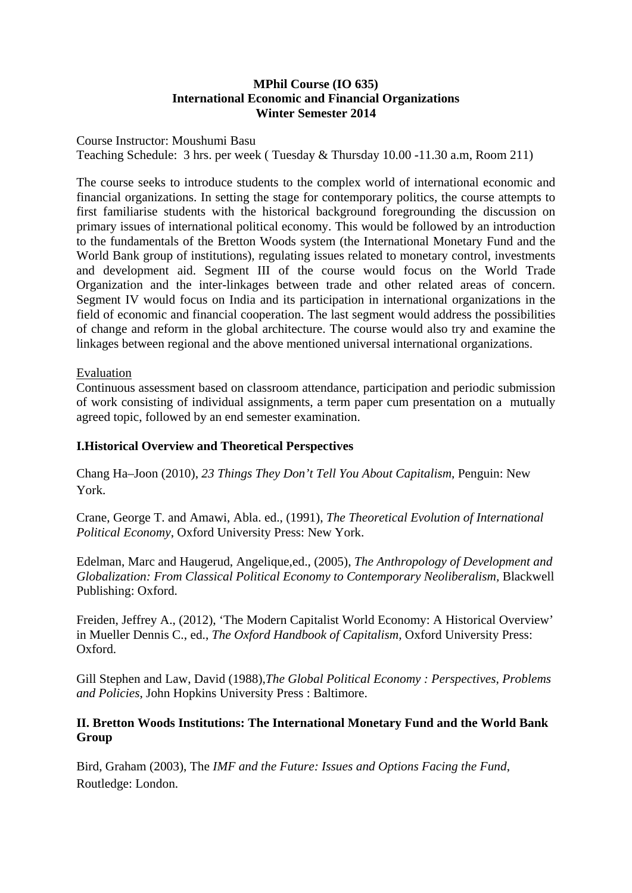### **MPhil Course (IO 635) International Economic and Financial Organizations Winter Semester 2014**

Course Instructor: Moushumi Basu Teaching Schedule: 3 hrs. per week ( Tuesday & Thursday 10.00 -11.30 a.m, Room 211)

The course seeks to introduce students to the complex world of international economic and financial organizations. In setting the stage for contemporary politics, the course attempts to first familiarise students with the historical background foregrounding the discussion on primary issues of international political economy. This would be followed by an introduction to the fundamentals of the Bretton Woods system (the International Monetary Fund and the World Bank group of institutions), regulating issues related to monetary control, investments and development aid. Segment III of the course would focus on the World Trade Organization and the inter-linkages between trade and other related areas of concern. Segment IV would focus on India and its participation in international organizations in the field of economic and financial cooperation. The last segment would address the possibilities of change and reform in the global architecture. The course would also try and examine the linkages between regional and the above mentioned universal international organizations.

### Evaluation

Continuous assessment based on classroom attendance, participation and periodic submission of work consisting of individual assignments, a term paper cum presentation on a mutually agreed topic, followed by an end semester examination.

#### **I.Historical Overview and Theoretical Perspectives**

Chang Ha–Joon (2010), *23 Things They Don't Tell You About Capitalism*, Penguin: New York.

Crane, George T. and Amawi, Abla. ed., (1991), *The Theoretical Evolution of International Political Economy*, Oxford University Press: New York.

Edelman, Marc and Haugerud, Angelique,ed., (2005), *The Anthropology of Development and Globalization: From Classical Political Economy to Contemporary Neoliberalism,* Blackwell Publishing: Oxford.

Freiden, Jeffrey A., (2012), 'The Modern Capitalist World Economy: A Historical Overview' in Mueller Dennis C., ed., *The Oxford Handbook of Capitalism,* Oxford University Press: Oxford.

Gill Stephen and Law, David (1988),*The Global Political Economy : Perspectives, Problems and Policies*, John Hopkins University Press : Baltimore.

# **II. Bretton Woods Institutions: The International Monetary Fund and the World Bank Group**

Bird, Graham (2003), The *IMF and the Future: Issues and Options Facing the Fund*, Routledge: London.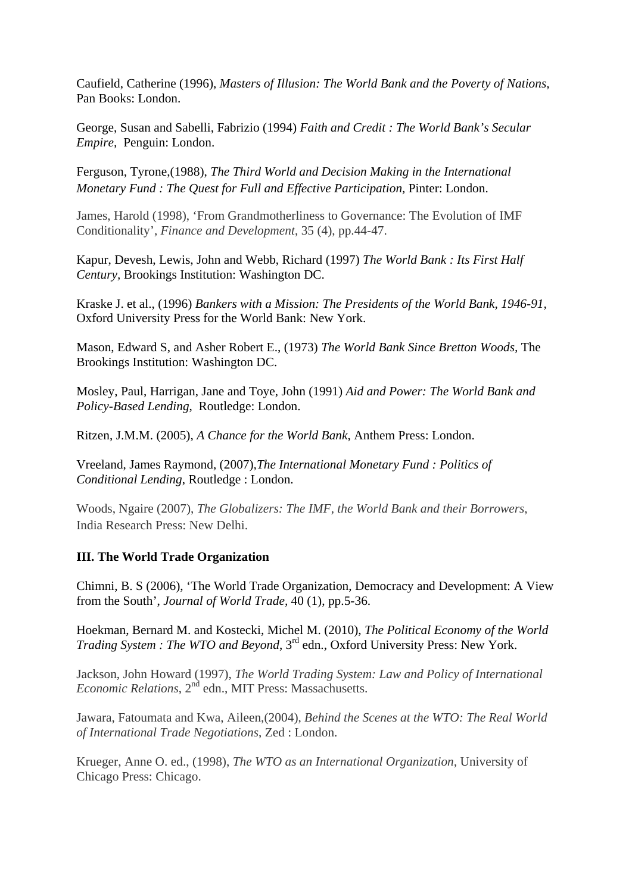Caufield, Catherine (1996), *Masters of Illusion: The World Bank and the Poverty of Nations,*  Pan Books: London.

George, Susan and Sabelli, Fabrizio (1994) *Faith and Credit : The World Bank's Secular Empire,* Penguin: London.

Ferguson, Tyrone,(1988), *The Third World and Decision Making in the International Monetary Fund : The Quest for Full and Effective Participation,* Pinter: London.

James, Harold (1998), 'From Grandmotherliness to Governance: The Evolution of IMF Conditionality', *Finance and Development*, 35 (4), pp.44-47.

Kapur, Devesh, Lewis, John and Webb, Richard (1997) *The World Bank : Its First Half Century,* Brookings Institution: Washington DC.

Kraske J. et al., (1996) *Bankers with a Mission: The Presidents of the World Bank, 1946-91,* Oxford University Press for the World Bank: New York.

Mason, Edward S, and Asher Robert E., (1973) *The World Bank Since Bretton Woods,* The Brookings Institution: Washington DC.

Mosley, Paul, Harrigan, Jane and Toye, John (1991) *Aid and Power: The World Bank and Policy-Based Lending*, Routledge: London.

Ritzen, J.M.M. (2005), *A Chance for the World Bank*, Anthem Press: London.

Vreeland, James Raymond, (2007)*,The International Monetary Fund : Politics of Conditional Lending*, Routledge : London.

Woods, Ngaire (2007), *The Globalizers: The IMF, the World Bank and their Borrowers*, India Research Press: New Delhi.

# **III. The World Trade Organization**

Chimni, B. S (2006), 'The World Trade Organization, Democracy and Development: A View from the South', *Journal of World Trade,* 40 (1), pp.5-36.

Hoekman, Bernard M. and Kostecki, Michel M. (2010), *The Political Economy of the World Trading System : The WTO and Beyond*, 3<sup>rd</sup> edn., Oxford University Press: New York.

Jackson, John Howard (1997), *The World Trading System: Law and Policy of International Economic Relations*, 2nd edn., MIT Press: Massachusetts.

Jawara, Fatoumata and Kwa, Aileen,(2004), *Behind the Scenes at the WTO: The Real World of International Trade Negotiations*, Zed : London.

Krueger, Anne O. ed., (1998), *The WTO as an International Organization,* University of Chicago Press: Chicago.